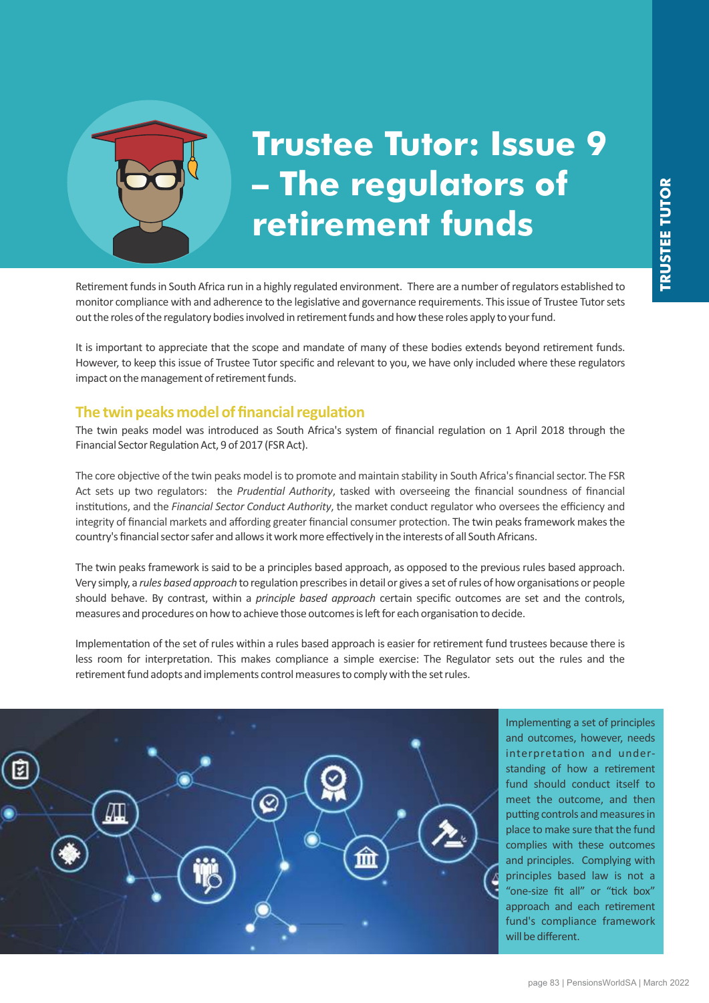

# **Trustee Tutor: Issue 9 – The regulators of retirement funds**

Retirement funds in South Africa run in a highly regulated environment. There are a number of regulators established to monitor compliance with and adherence to the legislative and governance requirements. This issue of Trustee Tutor sets out the roles of the regulatory bodies involved in retirement funds and how these roles apply to your fund.

It is important to appreciate that the scope and mandate of many of these bodies extends beyond retirement funds. However, to keep this issue of Trustee Tutor specific and relevant to you, we have only included where these regulators impact on the management of retirement funds.

#### **The twin peaks model of financial regulation**

The twin peaks model was introduced as South Africa's system of financial regulation on 1 April 2018 through the Financial Sector Regulation Act, 9 of 2017 (FSR Act).

The core objective of the twin peaks model is to promote and maintain stability in South Africa's financial sector. The FSR Act sets up two regulators: the *Prudential Authority*, tasked with overseeing the financial soundness of financial institutions, and the *Financial Sector Conduct Authority*, the market conduct regulator who oversees the efficiency and integrity of financial markets and affording greater financial consumer protection. The twin peaks framework makes the country's financial sector safer and allows it work more effectively in the interests of all South Africans.

The twin peaks framework is said to be a principles based approach, as opposed to the previous rules based approach. Very simply, a rules based approach to regulation prescribes in detail or gives a set of rules of how organisations or people should behave. By contrast, within a *principle based approach* certain specific outcomes are set and the controls, measures and procedures on how to achieve those outcomes is left for each organisation to decide.

Implementation of the set of rules within a rules based approach is easier for retirement fund trustees because there is less room for interpretation. This makes compliance a simple exercise: The Regulator sets out the rules and the retirement fund adopts and implements control measures to comply with the set rules.

 $\varnothing$ 

Implementing a set of principles and outcomes, however, needs interpretation and understanding of how a retirement fund should conduct itself to meet the outcome, and then putting controls and measures in place to make sure that the fund complies with these outcomes and principles. Complying with principles based law is not a "one-size fit all" or "tick box" approach and each retirement fund's compliance framework will be different.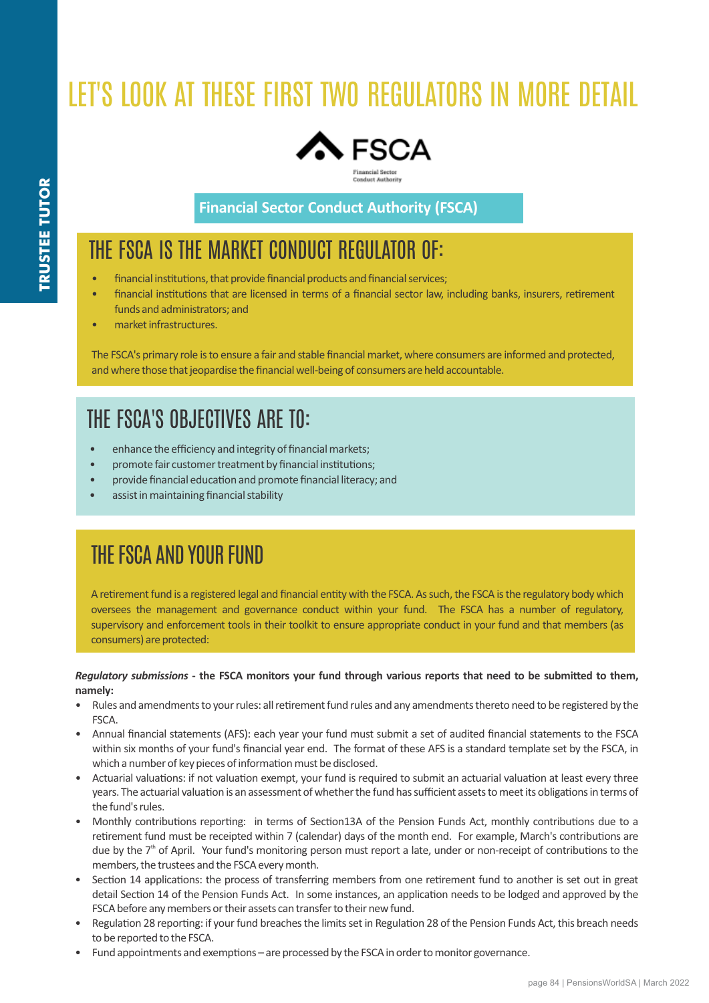# LET'S LOOK AT THESE FIRST TWO REGULATORS IN MORE DETAIL



**Financial Sector Conduct Authority (FSCA)**

## THE FSCA IS THE MARKET CONDUCT REGULATOR OF:

- financial institutions, that provide financial products and financial services;
- financial institutions that are licensed in terms of a financial sector law, including banks, insurers, retirement funds and administrators; and
- market infrastructures.

The FSCA's primary role is to ensure a fair and stable financial market, where consumers are informed and protected, and where those that jeopardise the financial well-being of consumers are held accountable.

## THE FSCA'S OBJECTIVES ARE TO:

- enhance the efficiency and integrity of financial markets;
- promote fair customer treatment by financial institutions:
- provide financial education and promote financial literacy; and
- assist in maintaining financial stability

## THE FSCA AND YOUR FUND

A retirement fund is a registered legal and financial entity with the FSCA. As such, the FSCA is the regulatory body which oversees the management and governance conduct within your fund. The FSCA has a number of regulatory, supervisory and enforcement tools in their toolkit to ensure appropriate conduct in your fund and that members (as consumers) are protected:

*Regulatory submissions* - the FSCA monitors your fund through various reports that need to be submitted to them. **namely:**

- Rules and amendments to your rules: all retirement fund rules and any amendments thereto need to be registered by the FSCA.
- Annual financial statements (AFS): each year your fund must submit a set of audited financial statements to the FSCA within six months of your fund's financial year end. The format of these AFS is a standard template set by the FSCA, in which a number of key pieces of information must be disclosed.
- Actuarial valuations: if not valuation exempt, your fund is required to submit an actuarial valuation at least every three years. The actuarial valuation is an assessment of whether the fund has sufficient assets to meet its obligations in terms of the fund's rules.
- Monthly contributions reporting: in terms of Section13A of the Pension Funds Act, monthly contributions due to a retirement fund must be receipted within 7 (calendar) days of the month end. For example, March's contributions are due by the 7<sup>th</sup> of April. Your fund's monitoring person must report a late, under or non-receipt of contributions to the members, the trustees and the FSCA every month.
- Section 14 applications: the process of transferring members from one retirement fund to another is set out in great detail Section 14 of the Pension Funds Act. In some instances, an application needs to be lodged and approved by the FSCA before any members or their assets can transfer to their new fund.
- Regulation 28 reporting: if your fund breaches the limits set in Regulation 28 of the Pension Funds Act, this breach needs to be reported to the FSCA.
- Fund appointments and exemptions are processed by the FSCA in order to monitor governance.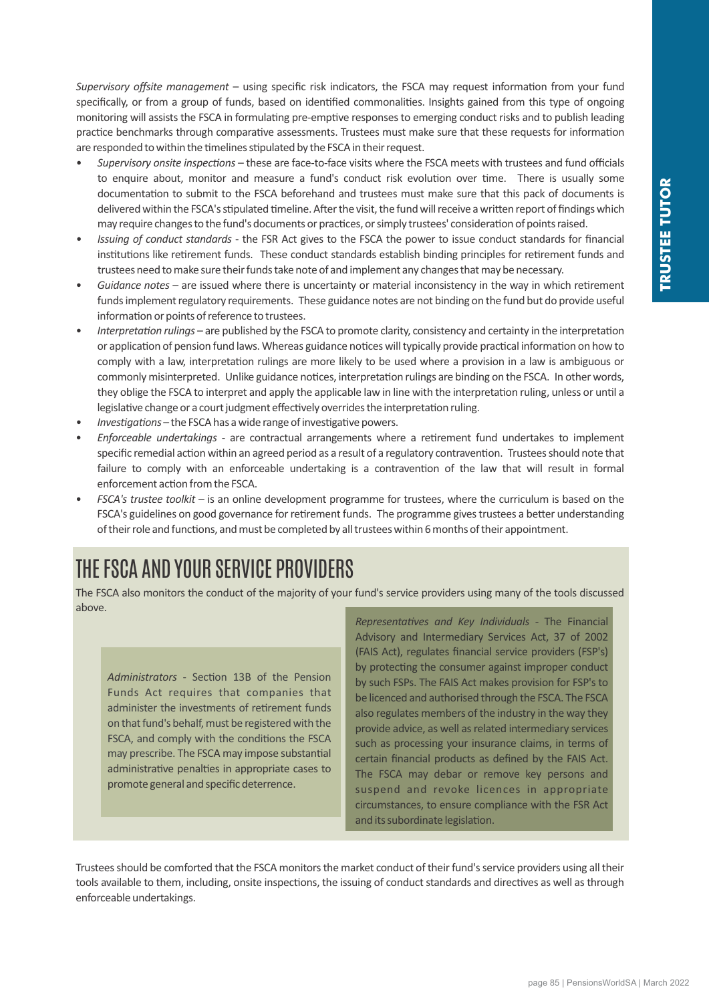*Supervisory offsite management* – using specific risk indicators, the FSCA may request information from your fund specifically, or from a group of funds, based on identified commonalities. Insights gained from this type of ongoing monitoring will assists the FSCA in formulating pre-emptive responses to emerging conduct risks and to publish leading practice benchmarks through comparative assessments. Trustees must make sure that these requests for information are responded to within the timelines stipulated by the FSCA in their request.

- Supervisory onsite inspections these are face-to-face visits where the FSCA meets with trustees and fund officials to enquire about, monitor and measure a fund's conduct risk evolution over time. There is usually some documentation to submit to the FSCA beforehand and trustees must make sure that this pack of documents is delivered within the FSCA's stipulated timeline. After the visit, the fund will receive a written report of findings which may require changes to the fund's documents or practices, or simply trustees' consideration of points raised.
- *Issuing of conduct standards* the FSR Act gives to the FSCA the power to issue conduct standards for financial institutions like retirement funds. These conduct standards establish binding principles for retirement funds and trustees need to make sure their funds take note of and implement any changes that may be necessary.
- Guidance notes are issued where there is uncertainty or material inconsistency in the way in which retirement funds implement regulatory requirements. These guidance notes are not binding on the fund but do provide useful information or points of reference to trustees.
- Interpretation rulings are published by the FSCA to promote clarity, consistency and certainty in the interpretation or application of pension fund laws. Whereas guidance notices will typically provide practical information on how to comply with a law, interpretation rulings are more likely to be used where a provision in a law is ambiguous or commonly misinterpreted. Unlike guidance notices, interpretation rulings are binding on the FSCA. In other words, they oblige the FSCA to interpret and apply the applicable law in line with the interpretation ruling, unless or until a legislative change or a court judgment effectively overrides the interpretation ruling.
- Investigations the FSCA has a wide range of investigative powers.
- *Enforceable undertakings* are contractual arrangements where a retirement fund undertakes to implement specific remedial action within an agreed period as a result of a regulatory contravention. Trustees should note that failure to comply with an enforceable undertaking is a contravention of the law that will result in formal enforcement action from the FSCA.
- *FSCA's trustee toolkit* is an online development programme for trustees, where the curriculum is based on the FSCA's guidelines on good governance for retirement funds. The programme gives trustees a better understanding of their role and functions, and must be completed by all trustees within 6 months of their appointment.

## THE FSCA AND YOUR SERVICE PROVIDERS

The FSCA also monitors the conduct of the majority of your fund's service providers using many of the tools discussed above.

Administrators - Section 13B of the Pension Funds Act requires that companies that administer the investments of retirement funds on that fund's behalf, must be registered with the FSCA, and comply with the conditions the FSCA may prescribe. The FSCA may impose substantial administrative penalties in appropriate cases to promote general and specific deterrence.

*Representatives and Key Individuals - The Financial* Advisory and Intermediary Services Act, 37 of 2002 (FAIS Act), regulates financial service providers (FSP's) by protecting the consumer against improper conduct by such FSPs. The FAIS Act makes provision for FSP's to be licenced and authorised through the FSCA. The FSCA also regulates members of the industry in the way they provide advice, as well as related intermediary services such as processing your insurance claims, in terms of certain financial products as defined by the FAIS Act. The FSCA may debar or remove key persons and suspend and revoke licences in appropriate circumstances, to ensure compliance with the FSR Act and its subordinate legislation.

Trustees should be comforted that the FSCA monitors the market conduct of their fund's service providers using all their tools available to them, including, onsite inspections, the issuing of conduct standards and directives as well as through enforceable undertakings.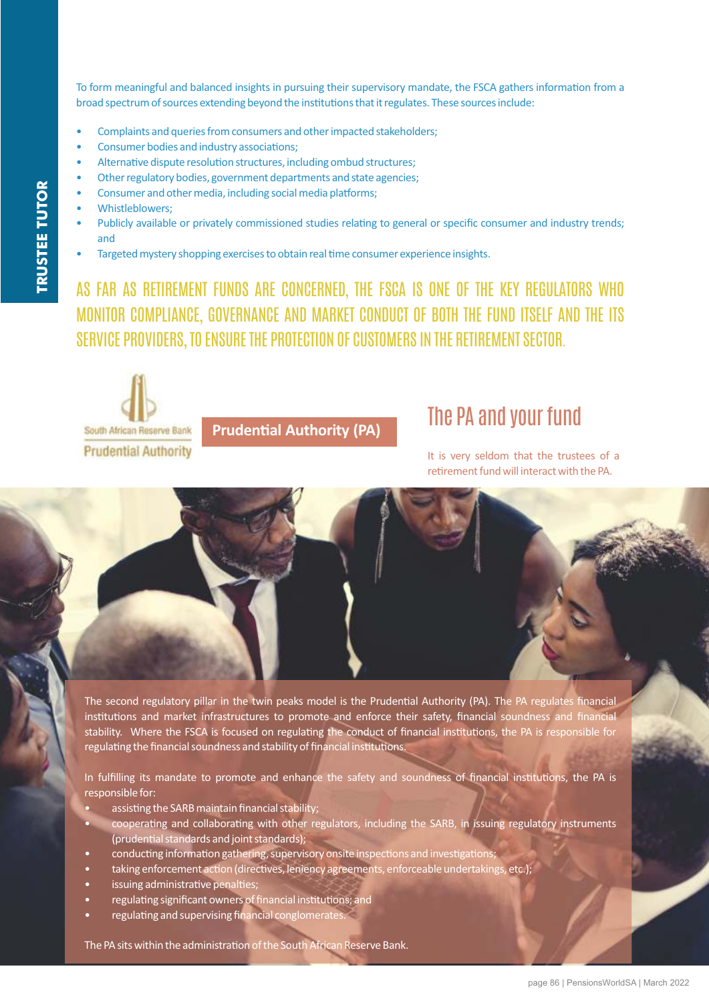To form meaningful and balanced insights in pursuing their supervisory mandate, the FSCA gathers information from a broad spectrum of sources extending beyond the institutions that it regulates. These sources include:

- Complaints and queries from consumers and other impacted stakeholders;
- Consumer bodies and industry associations;
- Alternative dispute resolution structures, including ombud structures;
- Other regulatory bodies, government departments and state agencies;
- Consumer and other media, including social media platforms;
- Whistleblowers:
- Publicly available or privately commissioned studies relating to general or specific consumer and industry trends; and
- Targeted mystery shopping exercises to obtain real time consumer experience insights.

AS FAR AS RETIREMENT FUNDS ARE CONCERNED, THE FSCA IS ONE OF THE KEY REGULATORS WHO MONITOR COMPLIANCE, GOVERNANCE AND MARKET CONDUCT OF BOTH THE FUND ITSELF AND THE ITS SERVICE PROVIDERS, TO ENSURE THE PROTECTION OF CUSTOMERS IN THE RETIREMENT SECTOR.



**Prudential Authority (PA)** 

## The PA and your fund

It is very seldom that the trustees of a retirement fund will interact with the PA.

The second regulatory pillar in the twin peaks model is the Prudential Authority (PA). The PA regulates financial institutions and market infrastructures to promote and enforce their safety, financial soundness and financial stability. Where the FSCA is focused on regulating the conduct of financial institutions, the PA is responsible for regulating the financial soundness and stability of financial institutions.

In fulfilling its mandate to promote and enhance the safety and soundness of financial institutions, the PA is responsible for:

- assisting the SARB maintain financial stability;
- cooperating and collaborating with other regulators, including the SARB, in issuing regulatory instruments (prudential standards and joint standards);
- conducting information gathering, supervisory onsite inspections and investigations;
- taking enforcement action (directives, leniency agreements, enforceable undertakings, etc.);
- issuing administrative penalties;
- regulating significant owners of financial institutions; and
- regulating and supervising financial conglomerates.

The PA sits within the administration of the South African Reserve Bank.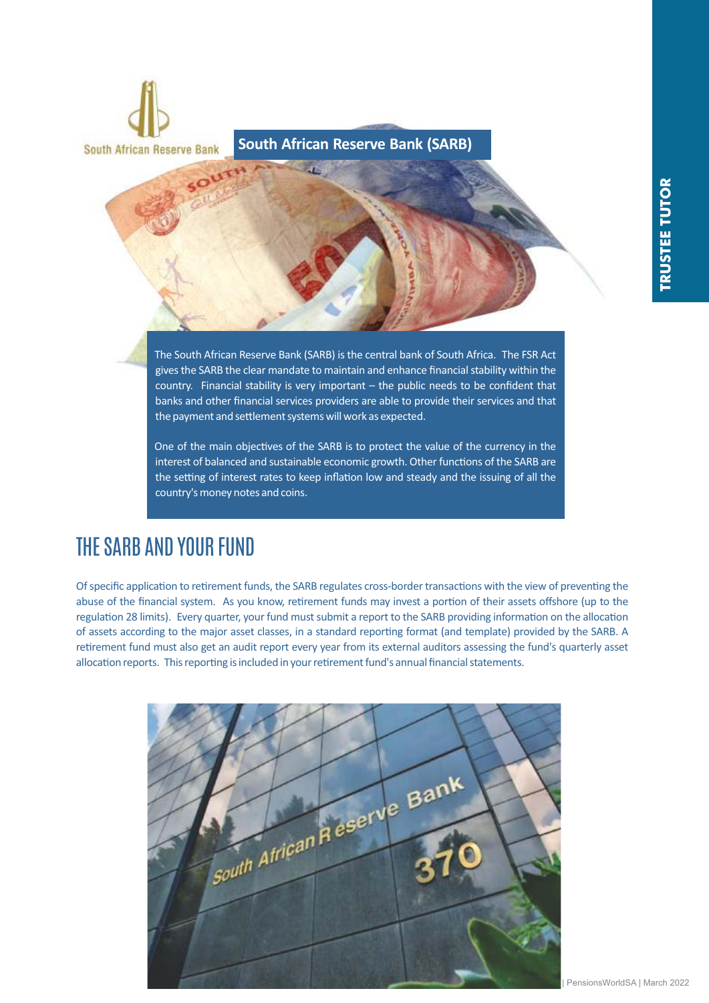

One of the main objectives of the SARB is to protect the value of the currency in the interest of balanced and sustainable economic growth. Other functions of the SARB are the setting of interest rates to keep inflation low and steady and the issuing of all the country's money notes and coins.

## THE SARB AND YOUR FUND

Of specific application to retirement funds, the SARB regulates cross-border transactions with the view of preventing the abuse of the financial system. As you know, retirement funds may invest a portion of their assets offshore (up to the regulation 28 limits). Every quarter, your fund must submit a report to the SARB providing information on the allocation of assets according to the major asset classes, in a standard reporting format (and template) provided by the SARB. A retirement fund must also get an audit report every year from its external auditors assessing the fund's quarterly asset allocation reports. This reporting is included in your retirement fund's annual financial statements.

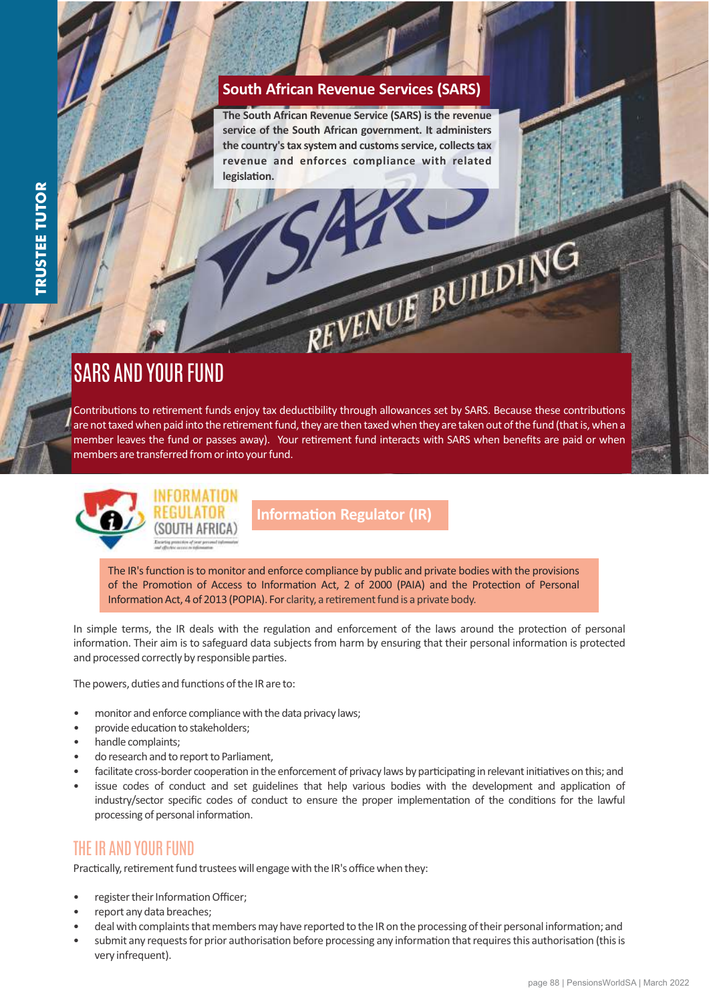#### **South African Revenue Services (SARS)**

**The South African Revenue Service (SARS) is the revenue service of the South African government. It administers the country's tax system and customs service, collects tax revenue and enforces compliance with related**  legislation.

REVENUE BUILDIN

## SARS AND YOUR FUND

Contributions to retirement funds enjoy tax deductibility through allowances set by SARS. Because these contributions are not taxed when paid into the retirement fund, they are then taxed when they are taken out of the fund (that is, when a member leaves the fund or passes away). Your retirement fund interacts with SARS when benefits are paid or when members are transferred from or into your fund.



**Information Regulator (IR)** 

The IR's function is to monitor and enforce compliance by public and private bodies with the provisions of the Promotion of Access to Information Act, 2 of 2000 (PAIA) and the Protection of Personal Information Act, 4 of 2013 (POPIA). For clarity, a retirement fund is a private body.

In simple terms, the IR deals with the regulation and enforcement of the laws around the protection of personal information. Their aim is to safeguard data subjects from harm by ensuring that their personal information is protected and processed correctly by responsible parties.

The powers, duties and functions of the IR are to:

- monitor and enforce compliance with the data privacy laws;
- provide education to stakeholders;
- handle complaints;
- do research and to report to Parliament,
- facilitate cross-border cooperation in the enforcement of privacy laws by participating in relevant initiatives on this; and
- issue codes of conduct and set guidelines that help various bodies with the development and application of industry/sector specific codes of conduct to ensure the proper implementation of the conditions for the lawful processing of personal information.

#### THE IR AND YOUR FUND

Practically, retirement fund trustees will engage with the IR's office when they:

- register their Information Officer;
- report any data breaches;
- deal with complaints that members may have reported to the IR on the processing of their personal information; and
- submit any requests for prior authorisation before processing any information that requires this authorisation (this is very infrequent).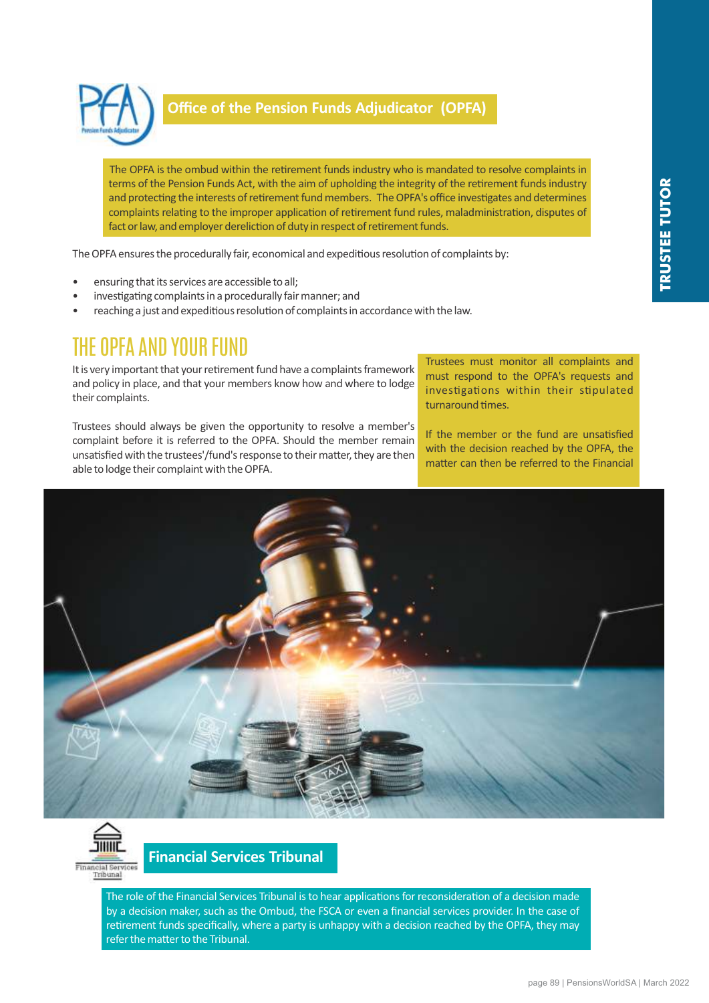

#### **Office of the Pension Funds Adjudicator (OPFA)**

The OPFA is the ombud within the retirement funds industry who is mandated to resolve complaints in terms of the Pension Funds Act, with the aim of upholding the integrity of the retirement funds industry and protecting the interests of retirement fund members. The OPFA's office investigates and determines complaints relating to the improper application of retirement fund rules, maladministration, disputes of fact or law, and employer dereliction of duty in respect of retirement funds.

The OPFA ensures the procedurally fair, economical and expeditious resolution of complaints by:

- ensuring that its services are accessible to all;
- investigating complaints in a procedurally fair manner; and
- reaching a just and expeditious resolution of complaints in accordance with the law.

### THE OPFA AND YOUR FUND

It is very important that your retirement fund have a complaints framework and policy in place, and that your members know how and where to lodge their complaints.

Trustees should always be given the opportunity to resolve a member's complaint before it is referred to the OPFA. Should the member remain unsatisfied with the trustees'/fund's response to their matter, they are then able to lodge their complaint with the OPFA.

Trustees must monitor all complaints and must respond to the OPFA's requests and investigations within their stipulated turnaround times.

If the member or the fund are unsatisfied with the decision reached by the OPFA, the matter can then be referred to the Financial





#### **Financial Services Tribunal**

The role of the Financial Services Tribunal is to hear applications for reconsideration of a decision made by a decision maker, such as the Ombud, the FSCA or even a financial services provider. In the case of retirement funds specifically, where a party is unhappy with a decision reached by the OPFA, they may refer the matter to the Tribunal.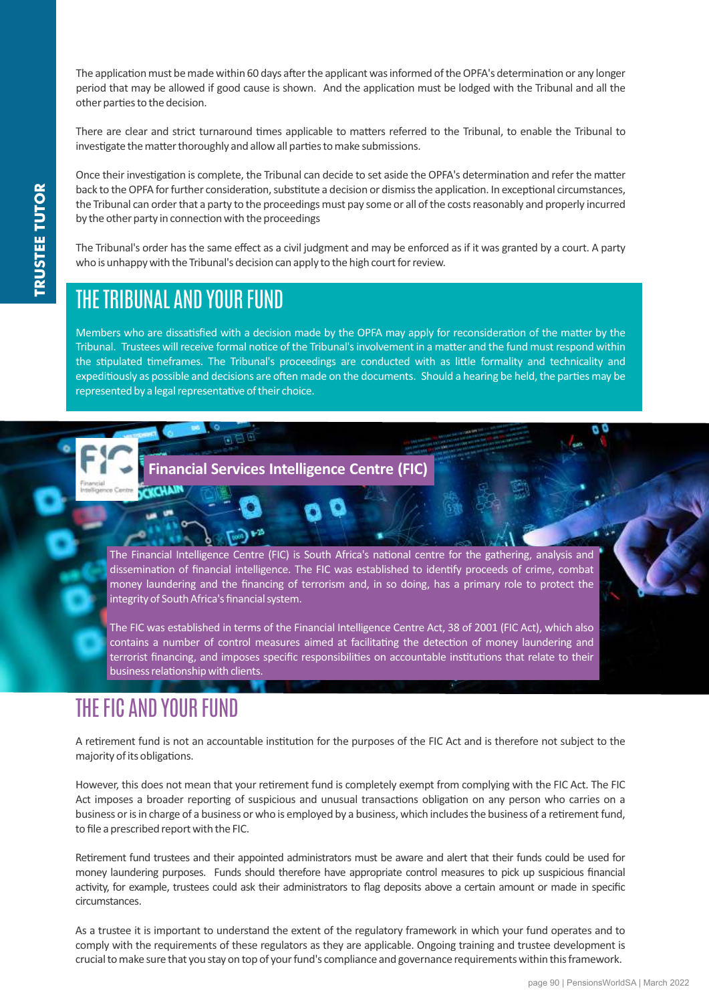The application must be made within 60 days after the applicant was informed of the OPFA's determination or any longer period that may be allowed if good cause is shown. And the application must be lodged with the Tribunal and all the other parties to the decision.

There are clear and strict turnaround times applicable to matters referred to the Tribunal, to enable the Tribunal to investigate the matter thoroughly and allow all parties to make submissions.

Once their investigation is complete, the Tribunal can decide to set aside the OPFA's determination and refer the matter back to the OPFA for further consideration, substitute a decision or dismiss the application. In exceptional circumstances, the Tribunal can order that a party to the proceedings must pay some or all of the costs reasonably and properly incurred by the other party in connection with the proceedings

The Tribunal's order has the same effect as a civil judgment and may be enforced as if it was granted by a court. A party who is unhappy with the Tribunal's decision can apply to the high court for review.

## THE TRIBUNAL AND YOUR FUND

Members who are dissatisfied with a decision made by the OPFA may apply for reconsideration of the matter by the Tribunal. Trustees will receive formal notice of the Tribunal's involvement in a matter and the fund must respond within the stipulated timeframes. The Tribunal's proceedings are conducted with as little formality and technicality and expeditiously as possible and decisions are often made on the documents. Should a hearing be held, the parties may be represented by a legal representative of their choice.

#### **Financial Services Intelligence Centre (FIC)**

The Financial Intelligence Centre (FIC) is South Africa's national centre for the gathering, analysis and dissemination of financial intelligence. The FIC was established to identify proceeds of crime, combat money laundering and the financing of terrorism and, in so doing, has a primary role to protect the integrity of South Africa's financial system.

The FIC was established in terms of the Financial Intelligence Centre Act, 38 of 2001 (FIC Act), which also contains a number of control measures aimed at facilitating the detection of money laundering and terrorist financing, and imposes specific responsibilities on accountable institutions that relate to their business relationship with clients.

## THE FIC AND YOUR FUND

A retirement fund is not an accountable institution for the purposes of the FIC Act and is therefore not subject to the majority of its obligations.

However, this does not mean that your retirement fund is completely exempt from complying with the FIC Act. The FIC Act imposes a broader reporting of suspicious and unusual transactions obligation on any person who carries on a business or is in charge of a business or who is employed by a business, which includes the business of a retirement fund, to file a prescribed report with the FIC.

Rerement fund trustees and their appointed administrators must be aware and alert that their funds could be used for money laundering purposes. Funds should therefore have appropriate control measures to pick up suspicious financial activity, for example, trustees could ask their administrators to flag deposits above a certain amount or made in specific circumstances.

As a trustee it is important to understand the extent of the regulatory framework in which your fund operates and to comply with the requirements of these regulators as they are applicable. Ongoing training and trustee development is crucial to make sure that you stay on top of your fund's compliance and governance requirements within this framework.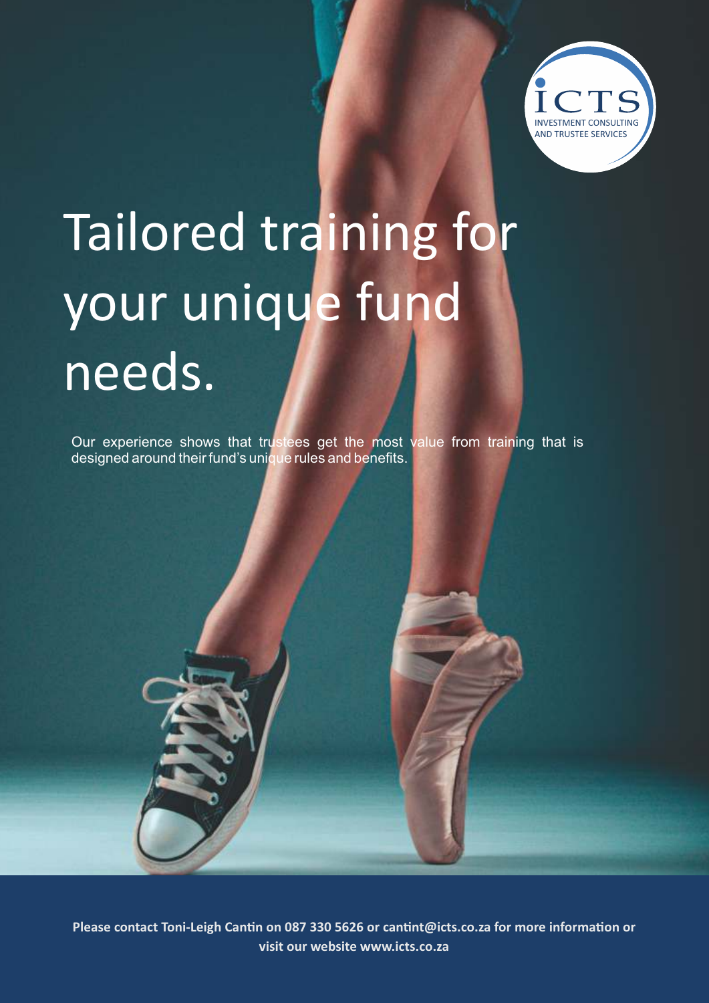

# Tailored training for your unique fund needs.

Our experience shows that trustees get the most value from training that is designed around their fund's unique rules and benefits.

Please contact Toni-Leigh Cantin on 087 330 5626 or cantint@icts.co.za for more information or **visit our website www.icts.co.za**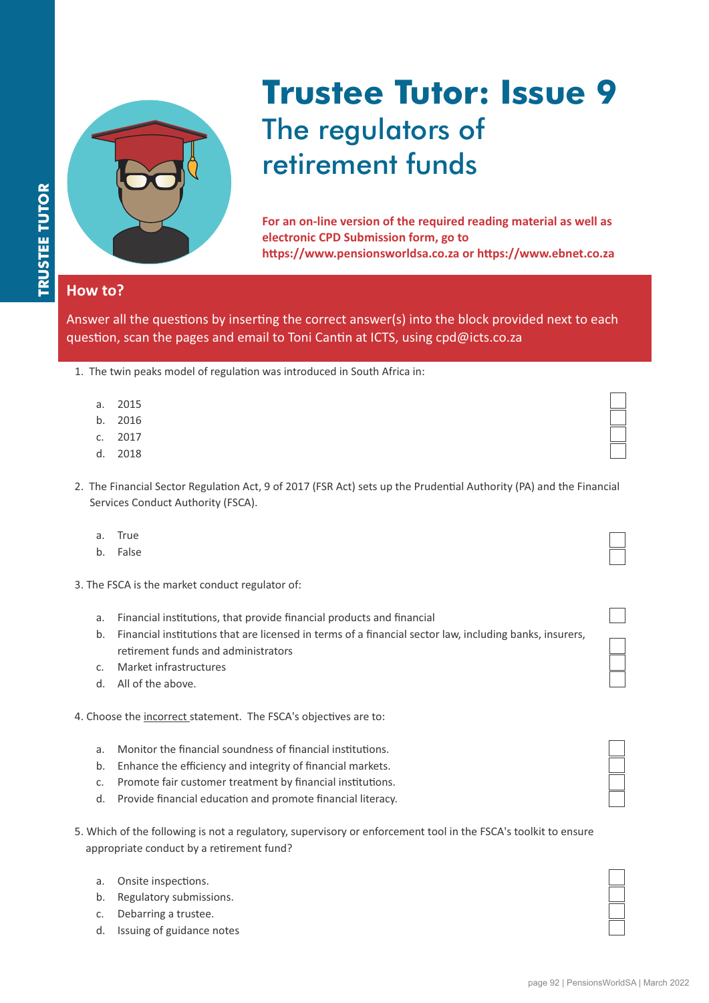

# **Trustee Tutor: Issue 9** The regulators of retirement funds

**For an on-line version of the required reading material as well as electronic CPD Submission form, go to**  https://www.pensionsworldsa.co.za or https://www.ebnet.co.za

#### **How to?**

Answer all the questions by inserting the correct answer(s) into the block provided next to each question, scan the pages and email to Toni Cantin at ICTS, using cpd@icts.co.za

| 1. The twin peaks model of regulation was introduced in South Africa in: |  |  |  |  |  |  |  |  |  |
|--------------------------------------------------------------------------|--|--|--|--|--|--|--|--|--|
|--------------------------------------------------------------------------|--|--|--|--|--|--|--|--|--|

- a. 2015
- b. 2016
- c. 2017
- d. 2018
- 2. The Financial Sector Regulation Act, 9 of 2017 (FSR Act) sets up the Prudential Authority (PA) and the Financial Services Conduct Authority (FSCA).
	- a. True
	- b. False
- 3. The FSCA is the market conduct regulator of:
	- a. Financial institutions, that provide financial products and financial
	- b. Financial institutions that are licensed in terms of a financial sector law, including banks, insurers, retirement funds and administrators
	- c. Market infrastructures
	- d. All of the above.

4. Choose the incorrect statement. The FSCA's objectives are to:

- a. Monitor the financial soundness of financial institutions.
- b. Enhance the efficiency and integrity of financial markets.
- c. Promote fair customer treatment by financial institutions.
- d. Provide financial education and promote financial literacy.
- 5. Which of the following is not a regulatory, supervisory or enforcement tool in the FSCA's toolkit to ensure appropriate conduct by a retirement fund?
	- a. Onsite inspections.
	- b. Regulatory submissions.
	- c. Debarring a trustee.
	- d. Issuing of guidance notes